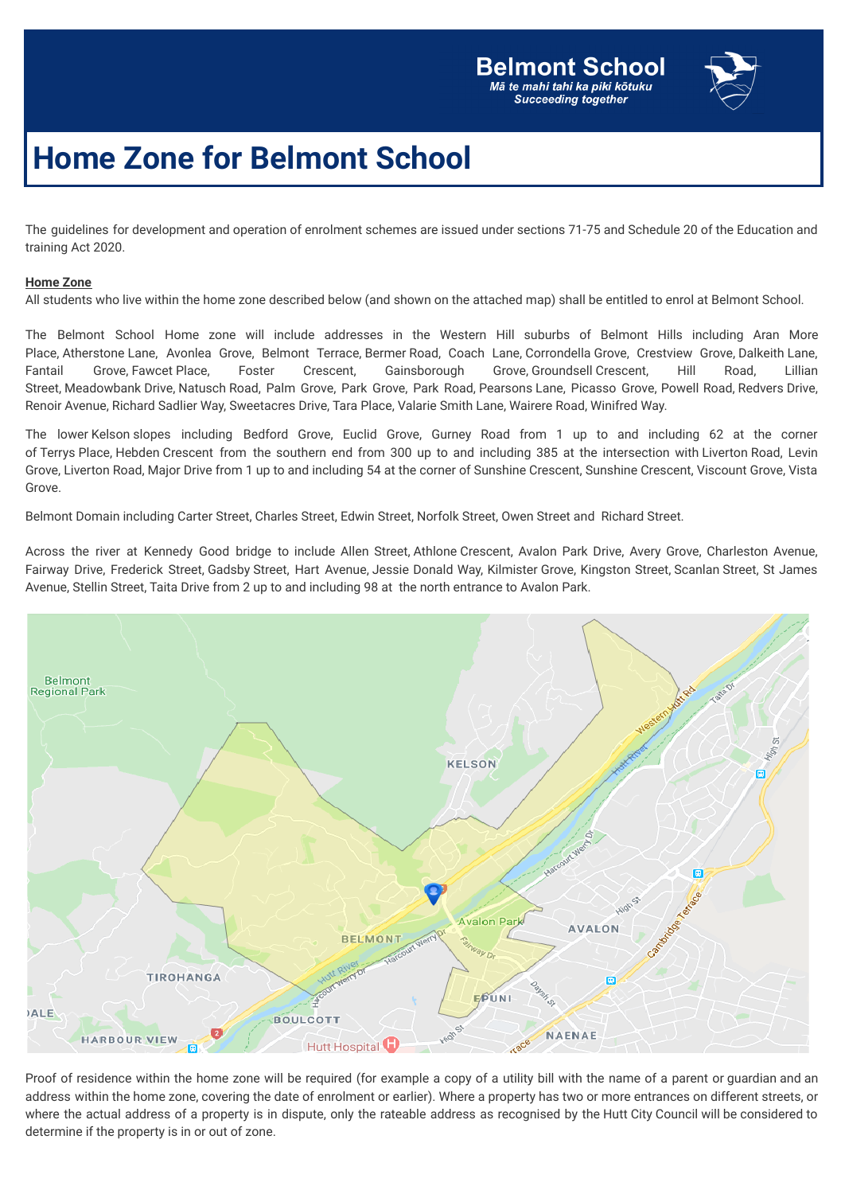

## **Home Zone for Belmont School**

The guidelines for development and operation of enrolment schemes are issued under sections 71-75 and Schedule 20 of the Education and training Act 2020.

## **Home Zone**

All students who live within the home zone described below (and shown on the attached map) shall be entitled to enrol at Belmont School.

The Belmont School Home zone will include addresses in the Western Hill suburbs of Belmont Hills including Aran More Place, Atherstone Lane, Avonlea Grove, Belmont Terrace, Bermer Road, Coach Lane, Corrondella Grove, Crestview Grove, Dalkeith Lane, Fantail Grove, Fawcet Place, Foster Crescent, Gainsborough Grove, Groundsell Crescent, Hill Road, Lillian Street, Meadowbank Drive, Natusch Road, Palm Grove, Park Grove, Park Road, Pearsons Lane, Picasso Grove, Powell Road, Redvers Drive, Renoir Avenue, Richard Sadlier Way, Sweetacres Drive, Tara Place, Valarie Smith Lane, Wairere Road, Winifred Way.

The lower Kelson slopes including Bedford Grove, Euclid Grove, Gurney Road from 1 up to and including 62 at the corner of Terrys Place, Hebden Crescent from the southern end from 300 up to and including 385 at the intersection with Liverton Road, Levin Grove, Liverton Road, Major Drive from 1 up to and including 54 at the corner of Sunshine Crescent, Sunshine Crescent, Viscount Grove, Vista Grove.

Belmont Domain including Carter Street, Charles Street, Edwin Street, Norfolk Street, Owen Street and Richard Street.

Across the river at Kennedy Good bridge to include Allen Street, Athlone Crescent, Avalon Park Drive, Avery Grove, Charleston Avenue, Fairway Drive, Frederick Street, Gadsby Street, Hart Avenue, Jessie Donald Way, Kilmister Grove, Kingston Street, Scanlan Street, St James Avenue, Stellin Street, Taita Drive from 2 up to and including 98 at the north entrance to Avalon Park.



Proof of residence within the home zone will be required (for example a copy of a utility bill with the name of a parent or guardian and an address within the home zone, covering the date of enrolment or earlier). Where a property has two or more entrances on different streets, or where the actual address of a property is in dispute, only the rateable address as recognised by the Hutt City Council will be considered to determine if the property is in or out of zone.